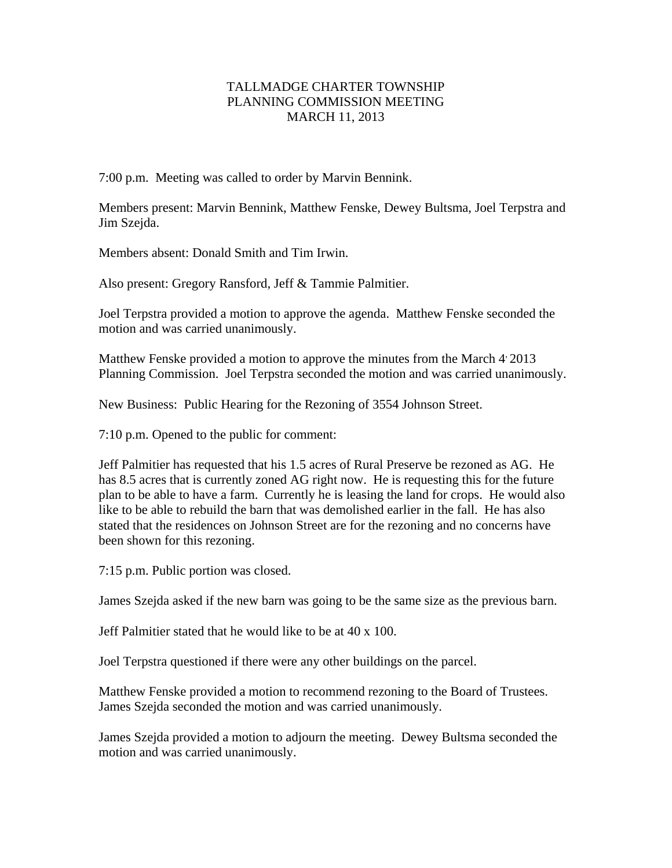## TALLMADGE CHARTER TOWNSHIP PLANNING COMMISSION MEETING MARCH 11, 2013

7:00 p.m. Meeting was called to order by Marvin Bennink.

Members present: Marvin Bennink, Matthew Fenske, Dewey Bultsma, Joel Terpstra and Jim Szejda.

Members absent: Donald Smith and Tim Irwin.

Also present: Gregory Ransford, Jeff & Tammie Palmitier.

Joel Terpstra provided a motion to approve the agenda. Matthew Fenske seconded the motion and was carried unanimously.

Matthew Fenske provided a motion to approve the minutes from the March  $4'$  2013 Planning Commission. Joel Terpstra seconded the motion and was carried unanimously.

New Business: Public Hearing for the Rezoning of 3554 Johnson Street.

7:10 p.m. Opened to the public for comment:

Jeff Palmitier has requested that his 1.5 acres of Rural Preserve be rezoned as AG. He has 8.5 acres that is currently zoned AG right now. He is requesting this for the future plan to be able to have a farm. Currently he is leasing the land for crops. He would also like to be able to rebuild the barn that was demolished earlier in the fall. He has also stated that the residences on Johnson Street are for the rezoning and no concerns have been shown for this rezoning.

7:15 p.m. Public portion was closed.

James Szejda asked if the new barn was going to be the same size as the previous barn.

Jeff Palmitier stated that he would like to be at 40 x 100.

Joel Terpstra questioned if there were any other buildings on the parcel.

Matthew Fenske provided a motion to recommend rezoning to the Board of Trustees. James Szejda seconded the motion and was carried unanimously.

James Szejda provided a motion to adjourn the meeting. Dewey Bultsma seconded the motion and was carried unanimously.